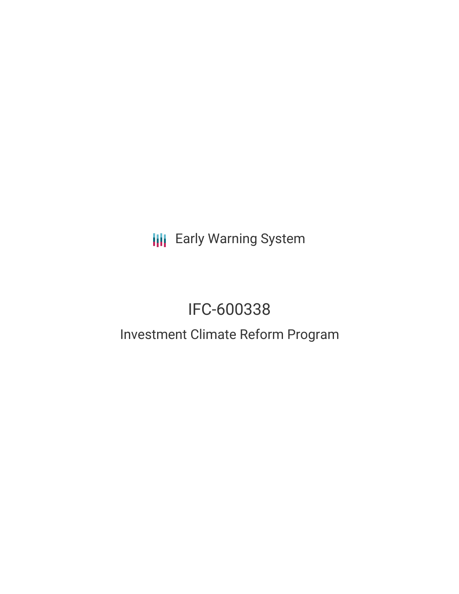**III** Early Warning System

# IFC-600338

## Investment Climate Reform Program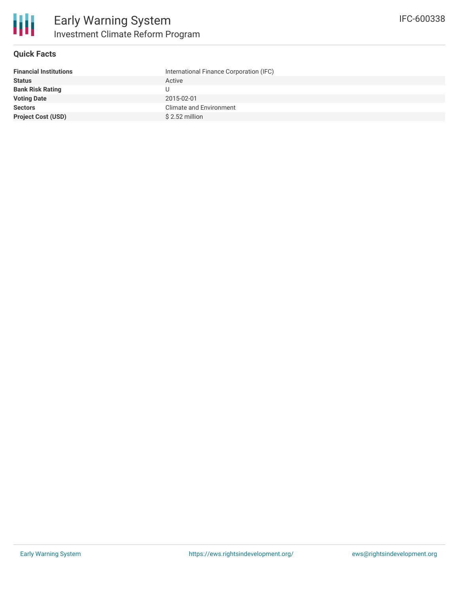

#### **Quick Facts**

| <b>Financial Institutions</b> | International Finance Corporation (IFC) |
|-------------------------------|-----------------------------------------|
| <b>Status</b>                 | Active                                  |
| <b>Bank Risk Rating</b>       |                                         |
| <b>Voting Date</b>            | 2015-02-01                              |
| <b>Sectors</b>                | Climate and Environment                 |
| <b>Project Cost (USD)</b>     | $$2.52$ million                         |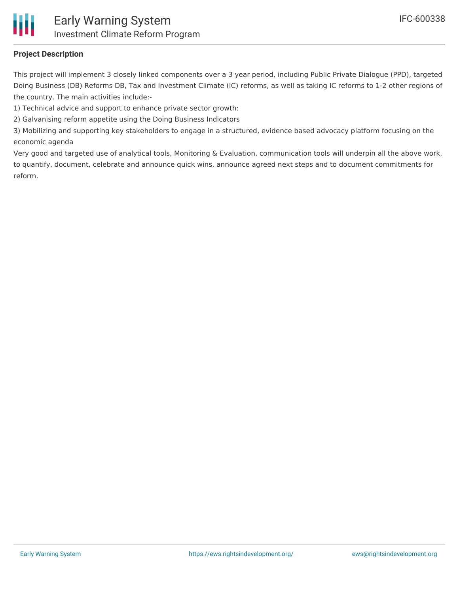#### **Project Description**

This project will implement 3 closely linked components over a 3 year period, including Public Private Dialogue (PPD), targeted Doing Business (DB) Reforms DB, Tax and Investment Climate (IC) reforms, as well as taking IC reforms to 1-2 other regions of the country. The main activities include:-

1) Technical advice and support to enhance private sector growth:

2) Galvanising reform appetite using the Doing Business Indicators

3) Mobilizing and supporting key stakeholders to engage in a structured, evidence based advocacy platform focusing on the economic agenda

Very good and targeted use of analytical tools, Monitoring & Evaluation, communication tools will underpin all the above work, to quantify, document, celebrate and announce quick wins, announce agreed next steps and to document commitments for reform.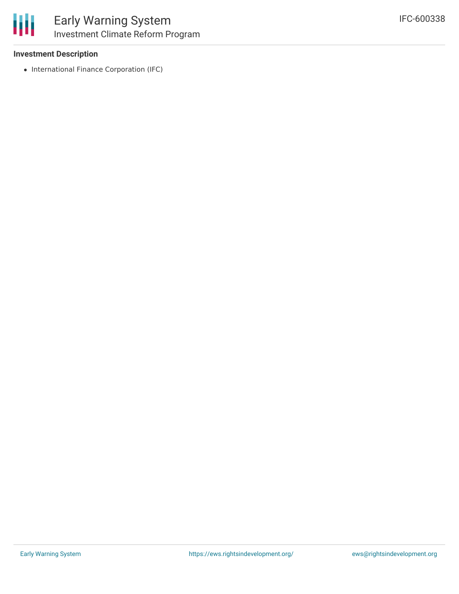

#### **Investment Description**

• International Finance Corporation (IFC)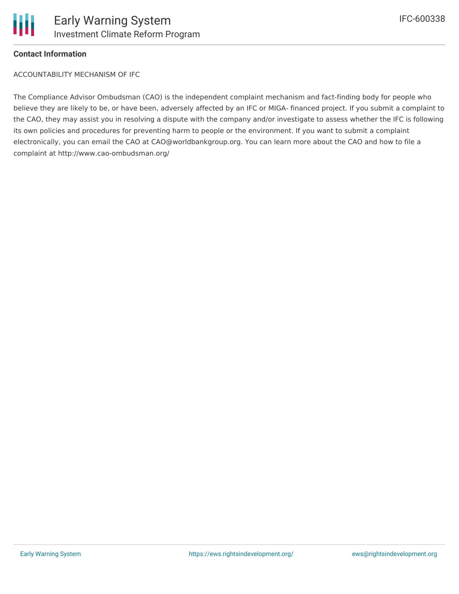

### **Contact Information**

ACCOUNTABILITY MECHANISM OF IFC

The Compliance Advisor Ombudsman (CAO) is the independent complaint mechanism and fact-finding body for people who believe they are likely to be, or have been, adversely affected by an IFC or MIGA- financed project. If you submit a complaint to the CAO, they may assist you in resolving a dispute with the company and/or investigate to assess whether the IFC is following its own policies and procedures for preventing harm to people or the environment. If you want to submit a complaint electronically, you can email the CAO at CAO@worldbankgroup.org. You can learn more about the CAO and how to file a complaint at http://www.cao-ombudsman.org/